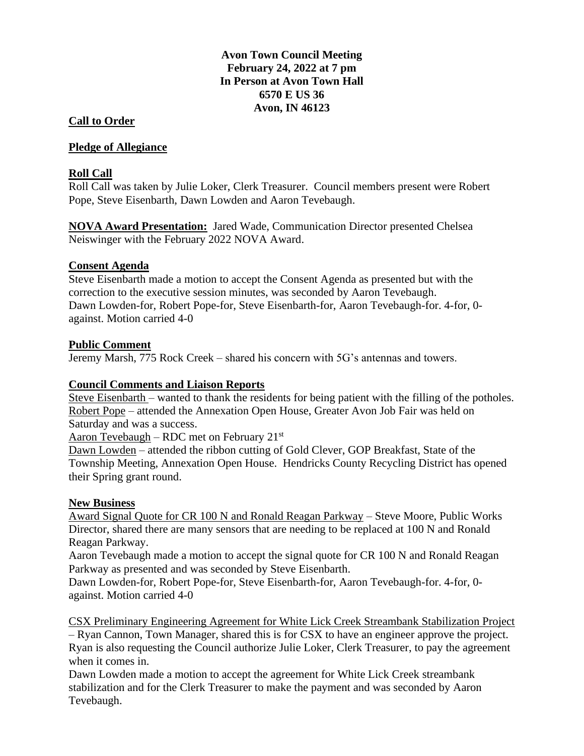# **Avon Town Council Meeting February 24, 2022 at 7 pm In Person at Avon Town Hall 6570 E US 36 Avon, IN 46123**

### **Call to Order**

#### **Pledge of Allegiance**

### **Roll Call**

Roll Call was taken by Julie Loker, Clerk Treasurer. Council members present were Robert Pope, Steve Eisenbarth, Dawn Lowden and Aaron Tevebaugh.

**NOVA Award Presentation:** Jared Wade, Communication Director presented Chelsea Neiswinger with the February 2022 NOVA Award.

### **Consent Agenda**

Steve Eisenbarth made a motion to accept the Consent Agenda as presented but with the correction to the executive session minutes, was seconded by Aaron Tevebaugh. Dawn Lowden-for, Robert Pope-for, Steve Eisenbarth-for, Aaron Tevebaugh-for. 4-for, 0 against. Motion carried 4-0

#### **Public Comment**

Jeremy Marsh, 775 Rock Creek – shared his concern with 5G's antennas and towers.

## **Council Comments and Liaison Reports**

Steve Eisenbarth – wanted to thank the residents for being patient with the filling of the potholes. Robert Pope – attended the Annexation Open House, Greater Avon Job Fair was held on Saturday and was a success.

Aaron Tevebaugh – RDC met on February  $21<sup>st</sup>$ 

Dawn Lowden – attended the ribbon cutting of Gold Clever, GOP Breakfast, State of the Township Meeting, Annexation Open House. Hendricks County Recycling District has opened their Spring grant round.

# **New Business**

Award Signal Quote for CR 100 N and Ronald Reagan Parkway – Steve Moore, Public Works Director, shared there are many sensors that are needing to be replaced at 100 N and Ronald Reagan Parkway.

Aaron Tevebaugh made a motion to accept the signal quote for CR 100 N and Ronald Reagan Parkway as presented and was seconded by Steve Eisenbarth.

Dawn Lowden-for, Robert Pope-for, Steve Eisenbarth-for, Aaron Tevebaugh-for. 4-for, 0 against. Motion carried 4-0

CSX Preliminary Engineering Agreement for White Lick Creek Streambank Stabilization Project

– Ryan Cannon, Town Manager, shared this is for CSX to have an engineer approve the project. Ryan is also requesting the Council authorize Julie Loker, Clerk Treasurer, to pay the agreement when it comes in.

Dawn Lowden made a motion to accept the agreement for White Lick Creek streambank stabilization and for the Clerk Treasurer to make the payment and was seconded by Aaron Tevebaugh.